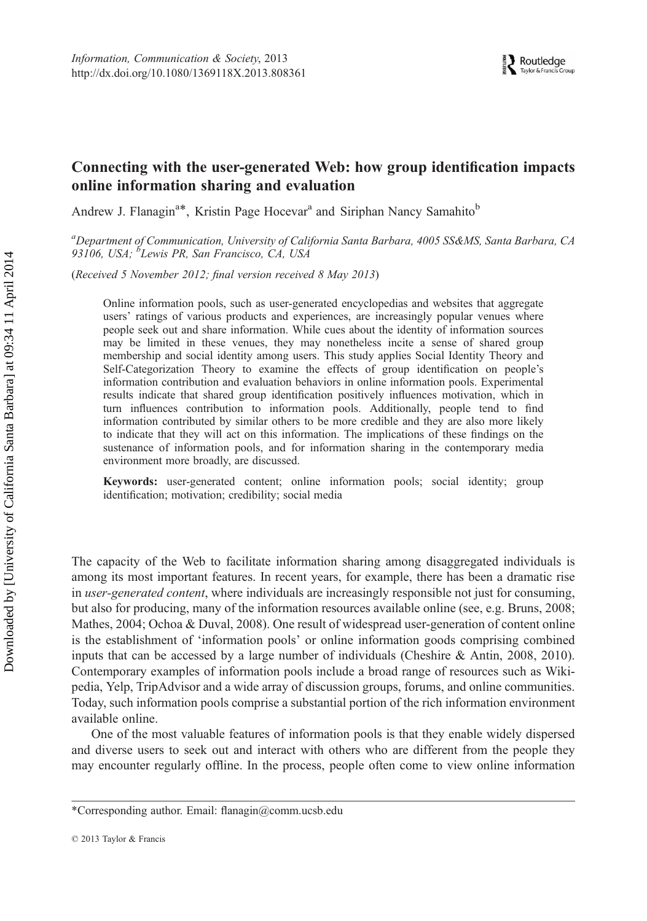# Connecting with the user-generated Web: how group identification impacts online information sharing and evaluation

Andrew J. Flanagin<sup>a\*</sup>, Kristin Page Hocevar<sup>a</sup> and Siriphan Nancy Samahito<sup>b</sup>

<sup>a</sup>Department of Communication, University of California Santa Barbara, 4005 SS&MS, Santa Barbara, CA 93106, USA; <sup>b</sup>Lewis PR, San Francisco, CA, USA

(Received 5 November 2012; final version received 8 May 2013)

Online information pools, such as user-generated encyclopedias and websites that aggregate users' ratings of various products and experiences, are increasingly popular venues where people seek out and share information. While cues about the identity of information sources may be limited in these venues, they may nonetheless incite a sense of shared group membership and social identity among users. This study applies Social Identity Theory and Self-Categorization Theory to examine the effects of group identification on people's information contribution and evaluation behaviors in online information pools. Experimental results indicate that shared group identification positively influences motivation, which in turn influences contribution to information pools. Additionally, people tend to find information contributed by similar others to be more credible and they are also more likely to indicate that they will act on this information. The implications of these findings on the sustenance of information pools, and for information sharing in the contemporary media environment more broadly, are discussed.

Keywords: user-generated content; online information pools; social identity; group identification; motivation; credibility; social media

The capacity of the Web to facilitate information sharing among disaggregated individuals is among its most important features. In recent years, for example, there has been a dramatic rise in *user-generated content*, where individuals are increasingly responsible not just for consuming, but also for producing, many of the information resources available online (see, e.g. Bruns, 2008; Mathes, 2004; Ochoa & Duval, 2008). One result of widespread user-generation of content online is the establishment of 'information pools' or online information goods comprising combined inputs that can be accessed by a large number of individuals (Cheshire & Antin, 2008, 2010). Contemporary examples of information pools include a broad range of resources such as Wikipedia, Yelp, TripAdvisor and a wide array of discussion groups, forums, and online communities. Today, such information pools comprise a substantial portion of the rich information environment available online.

One of the most valuable features of information pools is that they enable widely dispersed and diverse users to seek out and interact with others who are different from the people they may encounter regularly offline. In the process, people often come to view online information

<sup>\*</sup>Corresponding author. Email: flanagin@comm.ucsb.edu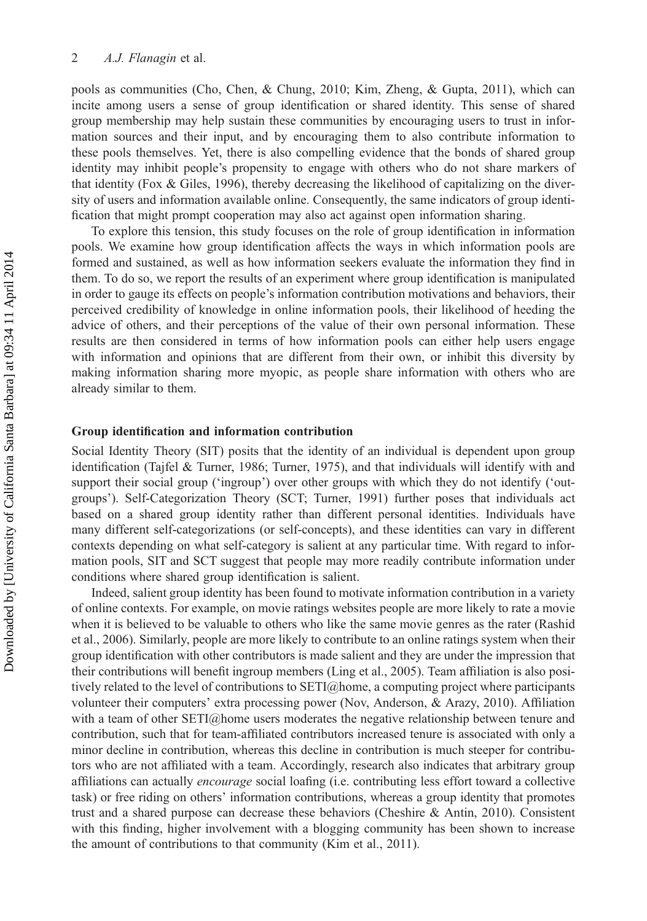pools as communities (Cho, Chen, & Chung, 2010; Kim, Zheng, & Gupta, 2011), which can incite among users a sense of group identification or shared identity. This sense of shared group membership may help sustain these communities by encouraging users to trust in information sources and their input, and by encouraging them to also contribute information to these pools themselves. Yet, there is also compelling evidence that the bonds of shared group identity may inhibit people's propensity to engage with others who do not share markers of that identity (Fox & Giles, 1996), thereby decreasing the likelihood of capitalizing on the diversity of users and information available online. Consequently, the same indicators of group identification that might prompt cooperation may also act against open information sharing.

To explore this tension, this study focuses on the role of group identification in information pools. We examine how group identification affects the ways in which information pools are formed and sustained, as well as how information seekers evaluate the information they find in them. To do so, we report the results of an experiment where group identification is manipulated in order to gauge its effects on people's information contribution motivations and behaviors, their perceived credibility of knowledge in online information pools, their likelihood of heeding the advice of others, and their perceptions of the value of their own personal information. These results are then considered in terms of how information pools can either help users engage with information and opinions that are different from their own, or inhibit this diversity by making information sharing more myopic, as people share information with others who are already similar to them.

# Group identification and information contribution

Social Identity Theory (SIT) posits that the identity of an individual is dependent upon group identification (Tajfel & Turner, 1986; Turner, 1975), and that individuals will identify with and support their social group ('ingroup') over other groups with which they do not identify ('outgroups'). Self-Categorization Theory (SCT; Turner, 1991) further poses that individuals act based on a shared group identity rather than different personal identities. Individuals have many different self-categorizations (or self-concepts), and these identities can vary in different contexts depending on what self-category is salient at any particular time. With regard to information pools, SIT and SCT suggest that people may more readily contribute information under conditions where shared group identification is salient.

Indeed, salient group identity has been found to motivate information contribution in a variety of online contexts. For example, on movie ratings websites people are more likely to rate a movie when it is believed to be valuable to others who like the same movie genres as the rater (Rashid et al., 2006). Similarly, people are more likely to contribute to an online ratings system when their group identification with other contributors is made salient and they are under the impression that their contributions will benefit ingroup members (Ling et al., 2005). Team affiliation is also positively related to the level of contributions to SETI@home, a computing project where participants volunteer their computers' extra processing power (Nov, Anderson, & Arazy, 2010). Affiliation with a team of other SETI@home users moderates the negative relationship between tenure and contribution, such that for team-affiliated contributors increased tenure is associated with only a minor decline in contribution, whereas this decline in contribution is much steeper for contributors who are not affiliated with a team. Accordingly, research also indicates that arbitrary group affiliations can actually encourage social loafing (i.e. contributing less effort toward a collective task) or free riding on others' information contributions, whereas a group identity that promotes trust and a shared purpose can decrease these behaviors (Cheshire & Antin, 2010). Consistent with this finding, higher involvement with a blogging community has been shown to increase the amount of contributions to that community (Kim et al., 2011).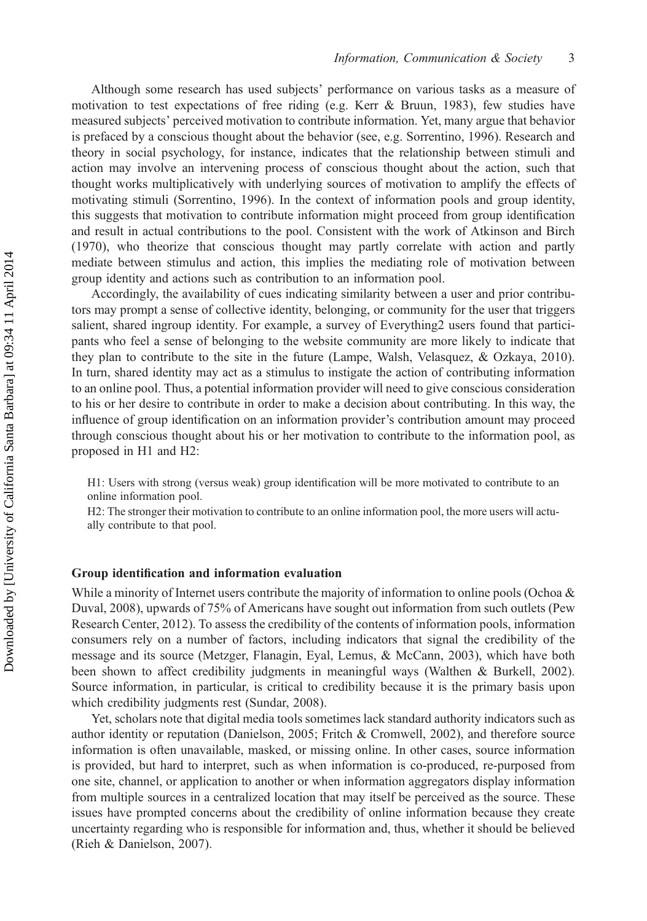Although some research has used subjects' performance on various tasks as a measure of motivation to test expectations of free riding (e.g. Kerr & Bruun, 1983), few studies have measured subjects' perceived motivation to contribute information. Yet, many argue that behavior is prefaced by a conscious thought about the behavior (see, e.g. Sorrentino, 1996). Research and theory in social psychology, for instance, indicates that the relationship between stimuli and action may involve an intervening process of conscious thought about the action, such that thought works multiplicatively with underlying sources of motivation to amplify the effects of motivating stimuli (Sorrentino, 1996). In the context of information pools and group identity, this suggests that motivation to contribute information might proceed from group identification and result in actual contributions to the pool. Consistent with the work of Atkinson and Birch (1970), who theorize that conscious thought may partly correlate with action and partly mediate between stimulus and action, this implies the mediating role of motivation between group identity and actions such as contribution to an information pool.

Accordingly, the availability of cues indicating similarity between a user and prior contributors may prompt a sense of collective identity, belonging, or community for the user that triggers salient, shared ingroup identity. For example, a survey of Everything2 users found that participants who feel a sense of belonging to the website community are more likely to indicate that they plan to contribute to the site in the future (Lampe, Walsh, Velasquez, & Ozkaya, 2010). In turn, shared identity may act as a stimulus to instigate the action of contributing information to an online pool. Thus, a potential information provider will need to give conscious consideration to his or her desire to contribute in order to make a decision about contributing. In this way, the influence of group identification on an information provider's contribution amount may proceed through conscious thought about his or her motivation to contribute to the information pool, as proposed in H1 and H2:

H1: Users with strong (versus weak) group identification will be more motivated to contribute to an online information pool.

H2: The stronger their motivation to contribute to an online information pool, the more users will actually contribute to that pool.

#### Group identification and information evaluation

While a minority of Internet users contribute the majority of information to online pools (Ochoa  $\&$ Duval, 2008), upwards of 75% of Americans have sought out information from such outlets (Pew Research Center, 2012). To assess the credibility of the contents of information pools, information consumers rely on a number of factors, including indicators that signal the credibility of the message and its source (Metzger, Flanagin, Eyal, Lemus, & McCann, 2003), which have both been shown to affect credibility judgments in meaningful ways (Walthen & Burkell, 2002). Source information, in particular, is critical to credibility because it is the primary basis upon which credibility judgments rest (Sundar, 2008).

Yet, scholars note that digital media tools sometimes lack standard authority indicators such as author identity or reputation (Danielson, 2005; Fritch & Cromwell, 2002), and therefore source information is often unavailable, masked, or missing online. In other cases, source information is provided, but hard to interpret, such as when information is co-produced, re-purposed from one site, channel, or application to another or when information aggregators display information from multiple sources in a centralized location that may itself be perceived as the source. These issues have prompted concerns about the credibility of online information because they create uncertainty regarding who is responsible for information and, thus, whether it should be believed (Rieh & Danielson, 2007).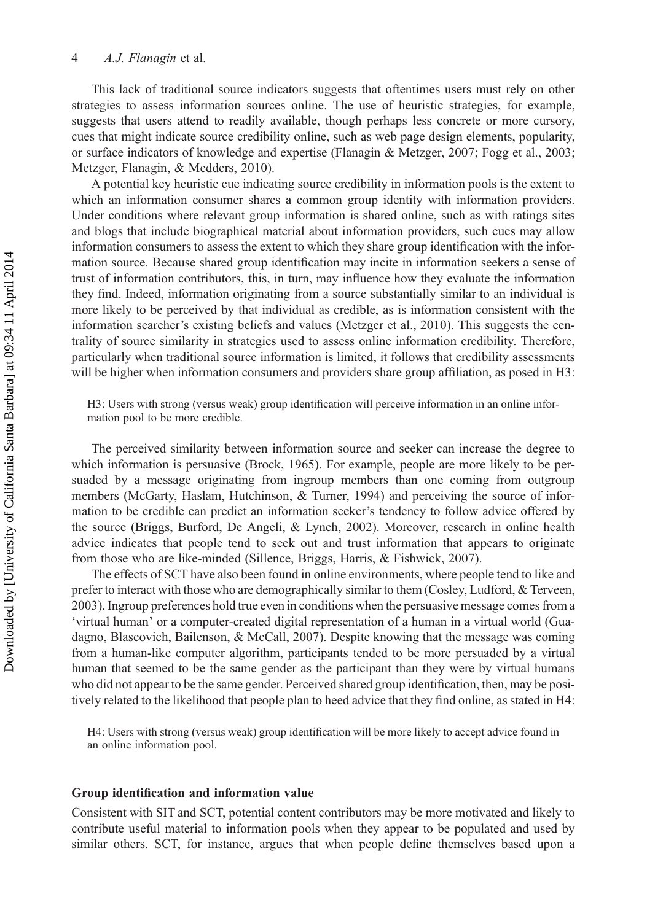# 4 A.J. Flanagin et al.

This lack of traditional source indicators suggests that oftentimes users must rely on other strategies to assess information sources online. The use of heuristic strategies, for example, suggests that users attend to readily available, though perhaps less concrete or more cursory, cues that might indicate source credibility online, such as web page design elements, popularity, or surface indicators of knowledge and expertise (Flanagin & Metzger, 2007; Fogg et al., 2003; Metzger, Flanagin, & Medders, 2010).

A potential key heuristic cue indicating source credibility in information pools is the extent to which an information consumer shares a common group identity with information providers. Under conditions where relevant group information is shared online, such as with ratings sites and blogs that include biographical material about information providers, such cues may allow information consumers to assess the extent to which they share group identification with the information source. Because shared group identification may incite in information seekers a sense of trust of information contributors, this, in turn, may influence how they evaluate the information they find. Indeed, information originating from a source substantially similar to an individual is more likely to be perceived by that individual as credible, as is information consistent with the information searcher's existing beliefs and values (Metzger et al., 2010). This suggests the centrality of source similarity in strategies used to assess online information credibility. Therefore, particularly when traditional source information is limited, it follows that credibility assessments will be higher when information consumers and providers share group affiliation, as posed in H3:

H3: Users with strong (versus weak) group identification will perceive information in an online information pool to be more credible.

The perceived similarity between information source and seeker can increase the degree to which information is persuasive (Brock, 1965). For example, people are more likely to be persuaded by a message originating from ingroup members than one coming from outgroup members (McGarty, Haslam, Hutchinson, & Turner, 1994) and perceiving the source of information to be credible can predict an information seeker's tendency to follow advice offered by the source (Briggs, Burford, De Angeli, & Lynch, 2002). Moreover, research in online health advice indicates that people tend to seek out and trust information that appears to originate from those who are like-minded (Sillence, Briggs, Harris, & Fishwick, 2007).

The effects of SCT have also been found in online environments, where people tend to like and prefer to interact with those who are demographically similar to them (Cosley, Ludford, & Terveen, 2003). Ingroup preferences hold true even in conditions when the persuasive message comes from a 'virtual human' or a computer-created digital representation of a human in a virtual world (Guadagno, Blascovich, Bailenson, & McCall, 2007). Despite knowing that the message was coming from a human-like computer algorithm, participants tended to be more persuaded by a virtual human that seemed to be the same gender as the participant than they were by virtual humans who did not appear to be the same gender. Perceived shared group identification, then, may be positively related to the likelihood that people plan to heed advice that they find online, as stated in H4:

H4: Users with strong (versus weak) group identification will be more likely to accept advice found in an online information pool.

#### Group identification and information value

Consistent with SIT and SCT, potential content contributors may be more motivated and likely to contribute useful material to information pools when they appear to be populated and used by similar others. SCT, for instance, argues that when people define themselves based upon a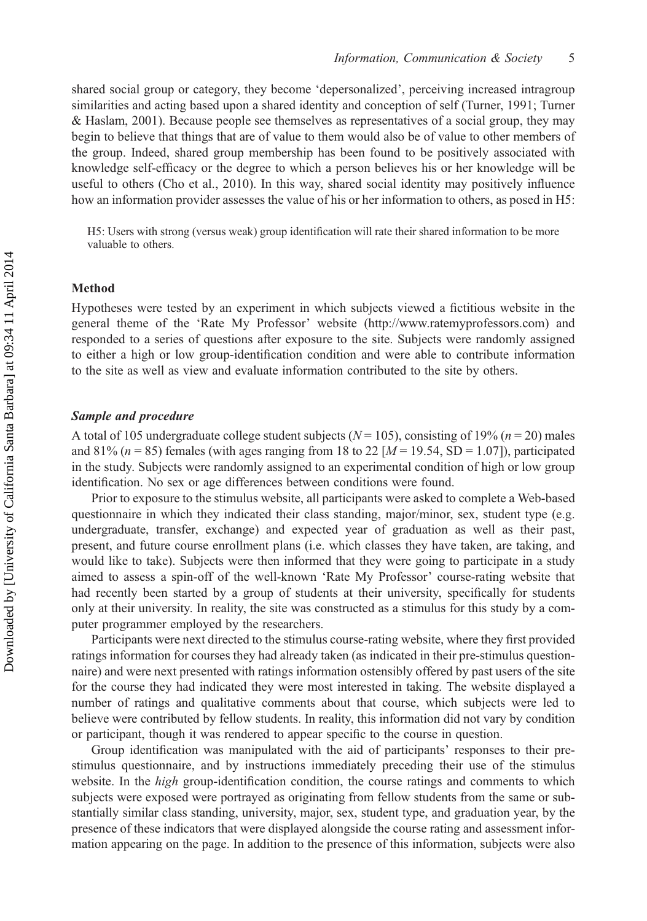shared social group or category, they become 'depersonalized', perceiving increased intragroup similarities and acting based upon a shared identity and conception of self (Turner, 1991; Turner & Haslam, 2001). Because people see themselves as representatives of a social group, they may begin to believe that things that are of value to them would also be of value to other members of the group. Indeed, shared group membership has been found to be positively associated with knowledge self-efficacy or the degree to which a person believes his or her knowledge will be useful to others (Cho et al., 2010). In this way, shared social identity may positively influence how an information provider assesses the value of his or her information to others, as posed in H5:

H5: Users with strong (versus weak) group identification will rate their shared information to be more valuable to others.

# Method

Hypotheses were tested by an experiment in which subjects viewed a fictitious website in the general theme of the 'Rate My Professor' website ([http://www.ratemyprofessors.com\)](http://www.ratemyprofessors.com) and responded to a series of questions after exposure to the site. Subjects were randomly assigned to either a high or low group-identification condition and were able to contribute information to the site as well as view and evaluate information contributed to the site by others.

## Sample and procedure

A total of 105 undergraduate college student subjects ( $N = 105$ ), consisting of 19% ( $n = 20$ ) males and 81% ( $n = 85$ ) females (with ages ranging from 18 to 22 [ $M = 19.54$ , SD = 1.07]), participated in the study. Subjects were randomly assigned to an experimental condition of high or low group identification. No sex or age differences between conditions were found.

Prior to exposure to the stimulus website, all participants were asked to complete a Web-based questionnaire in which they indicated their class standing, major/minor, sex, student type (e.g. undergraduate, transfer, exchange) and expected year of graduation as well as their past, present, and future course enrollment plans (i.e. which classes they have taken, are taking, and would like to take). Subjects were then informed that they were going to participate in a study aimed to assess a spin-off of the well-known 'Rate My Professor' course-rating website that had recently been started by a group of students at their university, specifically for students only at their university. In reality, the site was constructed as a stimulus for this study by a computer programmer employed by the researchers.

Participants were next directed to the stimulus course-rating website, where they first provided ratings information for courses they had already taken (as indicated in their pre-stimulus questionnaire) and were next presented with ratings information ostensibly offered by past users of the site for the course they had indicated they were most interested in taking. The website displayed a number of ratings and qualitative comments about that course, which subjects were led to believe were contributed by fellow students. In reality, this information did not vary by condition or participant, though it was rendered to appear specific to the course in question.

Group identification was manipulated with the aid of participants' responses to their prestimulus questionnaire, and by instructions immediately preceding their use of the stimulus website. In the *high* group-identification condition, the course ratings and comments to which subjects were exposed were portrayed as originating from fellow students from the same or substantially similar class standing, university, major, sex, student type, and graduation year, by the presence of these indicators that were displayed alongside the course rating and assessment information appearing on the page. In addition to the presence of this information, subjects were also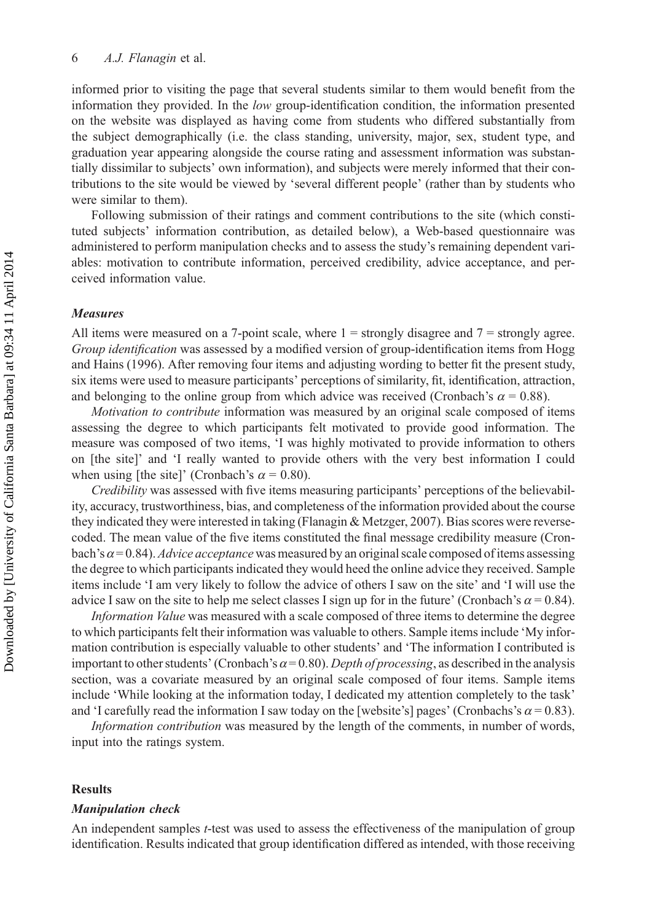informed prior to visiting the page that several students similar to them would benefit from the information they provided. In the low group-identification condition, the information presented on the website was displayed as having come from students who differed substantially from the subject demographically (i.e. the class standing, university, major, sex, student type, and graduation year appearing alongside the course rating and assessment information was substantially dissimilar to subjects' own information), and subjects were merely informed that their contributions to the site would be viewed by 'several different people' (rather than by students who were similar to them).

Following submission of their ratings and comment contributions to the site (which constituted subjects' information contribution, as detailed below), a Web-based questionnaire was administered to perform manipulation checks and to assess the study's remaining dependent variables: motivation to contribute information, perceived credibility, advice acceptance, and perceived information value.

# Measures

All items were measured on a 7-point scale, where  $1 =$  strongly disagree and  $7 =$  strongly agree. Group identification was assessed by a modified version of group-identification items from Hogg and Hains (1996). After removing four items and adjusting wording to better fit the present study, six items were used to measure participants' perceptions of similarity, fit, identification, attraction, and belonging to the online group from which advice was received (Cronbach's  $\alpha = 0.88$ ).

Motivation to contribute information was measured by an original scale composed of items assessing the degree to which participants felt motivated to provide good information. The measure was composed of two items, 'I was highly motivated to provide information to others on [the site]' and 'I really wanted to provide others with the very best information I could when using [the site]' (Cronbach's  $\alpha = 0.80$ ).

Credibility was assessed with five items measuring participants' perceptions of the believability, accuracy, trustworthiness, bias, and completeness of the information provided about the course they indicated they were interested in taking (Flanagin & Metzger, 2007). Bias scores were reversecoded. The mean value of the five items constituted the final message credibility measure (Cronbach's  $\alpha$  = 0.84). Advice acceptance was measured by an original scale composed of items assessing the degree to which participants indicated they would heed the online advice they received. Sample items include 'I am very likely to follow the advice of others I saw on the site' and 'I will use the advice I saw on the site to help me select classes I sign up for in the future' (Cronbach's  $\alpha$  = 0.84).

Information Value was measured with a scale composed of three items to determine the degree to which participants felt their information was valuable to others. Sample items include 'My information contribution is especially valuable to other students' and 'The information I contributed is important to other students' (Cronbach's  $\alpha$  = 0.80). Depth of processing, as described in the analysis section, was a covariate measured by an original scale composed of four items. Sample items include 'While looking at the information today, I dedicated my attention completely to the task' and 'I carefully read the information I saw today on the [website's] pages' (Cronbachs's  $\alpha$  = 0.83).

Information contribution was measured by the length of the comments, in number of words, input into the ratings system.

## Results

#### Manipulation check

An independent samples t-test was used to assess the effectiveness of the manipulation of group identification. Results indicated that group identification differed as intended, with those receiving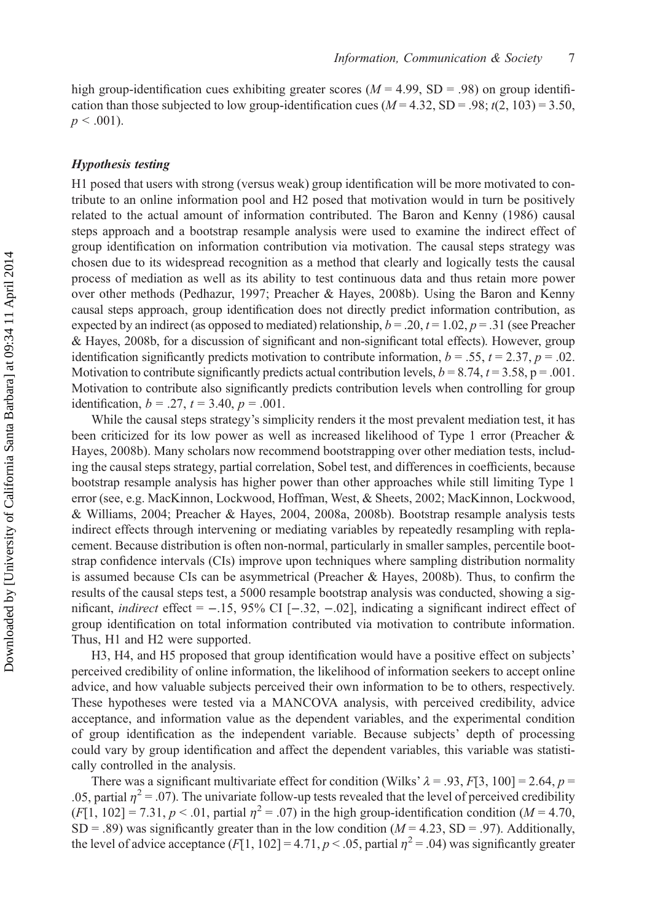high group-identification cues exhibiting greater scores ( $M = 4.99$ , SD = .98) on group identification than those subjected to low group-identification cues ( $M = 4.32$ , SD = .98;  $t(2, 103) = 3.50$ ,  $p < .001$ ).

# Hypothesis testing

H1 posed that users with strong (versus weak) group identification will be more motivated to contribute to an online information pool and H2 posed that motivation would in turn be positively related to the actual amount of information contributed. The Baron and Kenny (1986) causal steps approach and a bootstrap resample analysis were used to examine the indirect effect of group identification on information contribution via motivation. The causal steps strategy was chosen due to its widespread recognition as a method that clearly and logically tests the causal process of mediation as well as its ability to test continuous data and thus retain more power over other methods (Pedhazur, 1997; Preacher & Hayes, 2008b). Using the Baron and Kenny causal steps approach, group identification does not directly predict information contribution, as expected by an indirect (as opposed to mediated) relationship,  $b = .20$ ,  $t = 1.02$ ,  $p = .31$  (see Preacher & Hayes, 2008b, for a discussion of significant and non-significant total effects). However, group identification significantly predicts motivation to contribute information,  $b = .55$ ,  $t = 2.37$ ,  $p = .02$ . Motivation to contribute significantly predicts actual contribution levels,  $b = 8.74$ ,  $t = 3.58$ ,  $p = .001$ . Motivation to contribute also significantly predicts contribution levels when controlling for group identification,  $b = .27$ ,  $t = 3.40$ ,  $p = .001$ .

While the causal steps strategy's simplicity renders it the most prevalent mediation test, it has been criticized for its low power as well as increased likelihood of Type 1 error (Preacher & Hayes, 2008b). Many scholars now recommend bootstrapping over other mediation tests, including the causal steps strategy, partial correlation, Sobel test, and differences in coefficients, because bootstrap resample analysis has higher power than other approaches while still limiting Type 1 error (see, e.g. MacKinnon, Lockwood, Hoffman, West, & Sheets, 2002; MacKinnon, Lockwood, & Williams, 2004; Preacher & Hayes, 2004, 2008a, 2008b). Bootstrap resample analysis tests indirect effects through intervening or mediating variables by repeatedly resampling with replacement. Because distribution is often non-normal, particularly in smaller samples, percentile bootstrap confidence intervals (CIs) improve upon techniques where sampling distribution normality is assumed because CIs can be asymmetrical (Preacher & Hayes, 2008b). Thus, to confirm the results of the causal steps test, a 5000 resample bootstrap analysis was conducted, showing a significant, *indirect* effect =  $-.15$ ,  $95\%$  CI [ $-.32$ ,  $-.02$ ], indicating a significant indirect effect of group identification on total information contributed via motivation to contribute information. Thus, H1 and H2 were supported.

H3, H4, and H5 proposed that group identification would have a positive effect on subjects' perceived credibility of online information, the likelihood of information seekers to accept online advice, and how valuable subjects perceived their own information to be to others, respectively. These hypotheses were tested via a MANCOVA analysis, with perceived credibility, advice acceptance, and information value as the dependent variables, and the experimental condition of group identification as the independent variable. Because subjects' depth of processing could vary by group identification and affect the dependent variables, this variable was statistically controlled in the analysis.

There was a significant multivariate effect for condition (Wilks'  $\lambda = .93$ , F[3, 100] = 2.64, p = .05, partial  $\eta^2$  = .07). The univariate follow-up tests revealed that the level of perceived credibility  $(F[1, 102] = 7.31, p < .01$ , partial  $\eta^2 = .07$ ) in the high group-identification condition (M = 4.70,  $SD = .89$ ) was significantly greater than in the low condition ( $M = 4.23$ ,  $SD = .97$ ). Additionally, the level of advice acceptance  $(F[1, 102] = 4.71, p < .05$ , partial  $\eta^2 = .04$ ) was significantly greater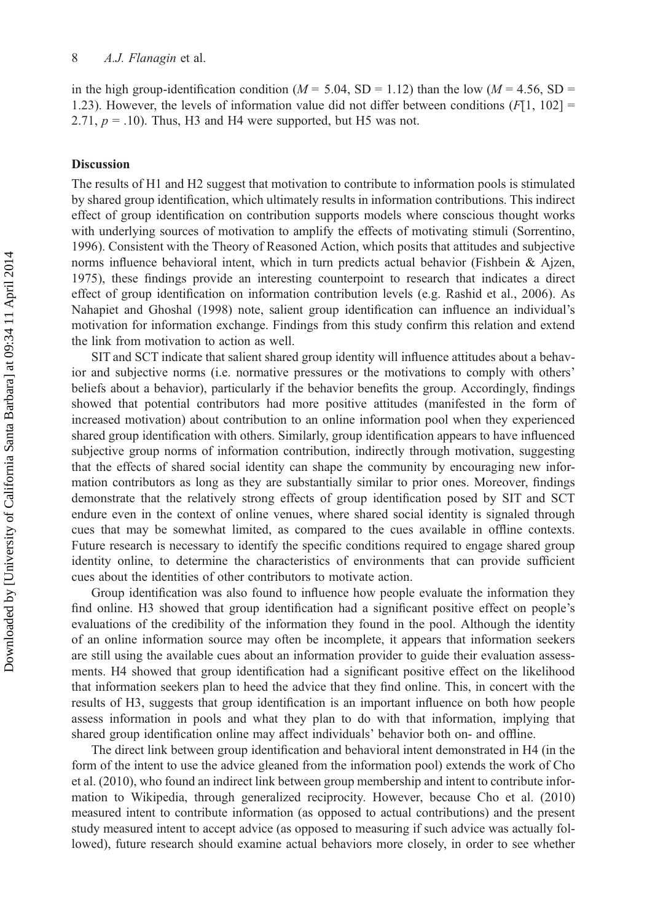in the high group-identification condition ( $M = 5.04$ , SD = 1.12) than the low ( $M = 4.56$ , SD = 1.23). However, the levels of information value did not differ between conditions  $(F[1, 102] =$ 2.71,  $p = .10$ ). Thus, H3 and H4 were supported, but H5 was not.

## **Discussion**

The results of H1 and H2 suggest that motivation to contribute to information pools is stimulated by shared group identification, which ultimately results in information contributions. This indirect effect of group identification on contribution supports models where conscious thought works with underlying sources of motivation to amplify the effects of motivating stimuli (Sorrentino, 1996). Consistent with the Theory of Reasoned Action, which posits that attitudes and subjective norms influence behavioral intent, which in turn predicts actual behavior (Fishbein & Ajzen, 1975), these findings provide an interesting counterpoint to research that indicates a direct effect of group identification on information contribution levels (e.g. Rashid et al., 2006). As Nahapiet and Ghoshal (1998) note, salient group identification can influence an individual's motivation for information exchange. Findings from this study confirm this relation and extend the link from motivation to action as well.

SIT and SCT indicate that salient shared group identity will influence attitudes about a behavior and subjective norms (i.e. normative pressures or the motivations to comply with others' beliefs about a behavior), particularly if the behavior benefits the group. Accordingly, findings showed that potential contributors had more positive attitudes (manifested in the form of increased motivation) about contribution to an online information pool when they experienced shared group identification with others. Similarly, group identification appears to have influenced subjective group norms of information contribution, indirectly through motivation, suggesting that the effects of shared social identity can shape the community by encouraging new information contributors as long as they are substantially similar to prior ones. Moreover, findings demonstrate that the relatively strong effects of group identification posed by SIT and SCT endure even in the context of online venues, where shared social identity is signaled through cues that may be somewhat limited, as compared to the cues available in offline contexts. Future research is necessary to identify the specific conditions required to engage shared group identity online, to determine the characteristics of environments that can provide sufficient cues about the identities of other contributors to motivate action.

Group identification was also found to influence how people evaluate the information they find online. H3 showed that group identification had a significant positive effect on people's evaluations of the credibility of the information they found in the pool. Although the identity of an online information source may often be incomplete, it appears that information seekers are still using the available cues about an information provider to guide their evaluation assessments. H4 showed that group identification had a significant positive effect on the likelihood that information seekers plan to heed the advice that they find online. This, in concert with the results of H3, suggests that group identification is an important influence on both how people assess information in pools and what they plan to do with that information, implying that shared group identification online may affect individuals' behavior both on- and offline.

The direct link between group identification and behavioral intent demonstrated in H4 (in the form of the intent to use the advice gleaned from the information pool) extends the work of Cho et al. (2010), who found an indirect link between group membership and intent to contribute information to Wikipedia, through generalized reciprocity. However, because Cho et al. (2010) measured intent to contribute information (as opposed to actual contributions) and the present study measured intent to accept advice (as opposed to measuring if such advice was actually followed), future research should examine actual behaviors more closely, in order to see whether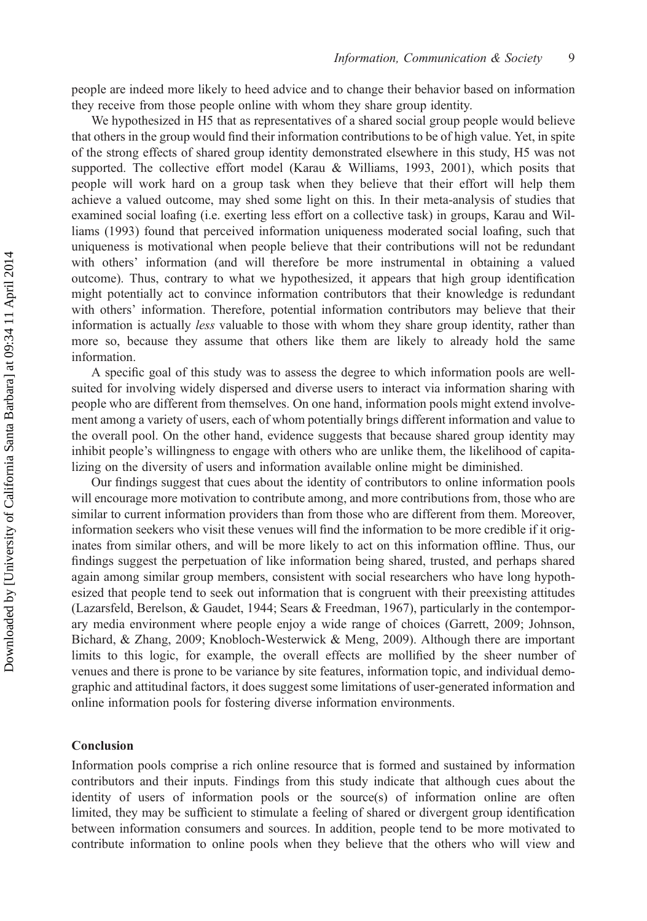people are indeed more likely to heed advice and to change their behavior based on information they receive from those people online with whom they share group identity.

We hypothesized in H5 that as representatives of a shared social group people would believe that others in the group would find their information contributions to be of high value. Yet, in spite of the strong effects of shared group identity demonstrated elsewhere in this study, H5 was not supported. The collective effort model (Karau & Williams, 1993, 2001), which posits that people will work hard on a group task when they believe that their effort will help them achieve a valued outcome, may shed some light on this. In their meta-analysis of studies that examined social loafing (i.e. exerting less effort on a collective task) in groups, Karau and Williams (1993) found that perceived information uniqueness moderated social loafing, such that uniqueness is motivational when people believe that their contributions will not be redundant with others' information (and will therefore be more instrumental in obtaining a valued outcome). Thus, contrary to what we hypothesized, it appears that high group identification might potentially act to convince information contributors that their knowledge is redundant with others' information. Therefore, potential information contributors may believe that their information is actually *less* valuable to those with whom they share group identity, rather than more so, because they assume that others like them are likely to already hold the same information.

A specific goal of this study was to assess the degree to which information pools are wellsuited for involving widely dispersed and diverse users to interact via information sharing with people who are different from themselves. On one hand, information pools might extend involvement among a variety of users, each of whom potentially brings different information and value to the overall pool. On the other hand, evidence suggests that because shared group identity may inhibit people's willingness to engage with others who are unlike them, the likelihood of capitalizing on the diversity of users and information available online might be diminished.

Our findings suggest that cues about the identity of contributors to online information pools will encourage more motivation to contribute among, and more contributions from, those who are similar to current information providers than from those who are different from them. Moreover, information seekers who visit these venues will find the information to be more credible if it originates from similar others, and will be more likely to act on this information offline. Thus, our findings suggest the perpetuation of like information being shared, trusted, and perhaps shared again among similar group members, consistent with social researchers who have long hypothesized that people tend to seek out information that is congruent with their preexisting attitudes (Lazarsfeld, Berelson, & Gaudet, 1944; Sears & Freedman, 1967), particularly in the contemporary media environment where people enjoy a wide range of choices (Garrett, 2009; Johnson, Bichard, & Zhang, 2009; Knobloch-Westerwick & Meng, 2009). Although there are important limits to this logic, for example, the overall effects are mollified by the sheer number of venues and there is prone to be variance by site features, information topic, and individual demographic and attitudinal factors, it does suggest some limitations of user-generated information and online information pools for fostering diverse information environments.

## Conclusion

Information pools comprise a rich online resource that is formed and sustained by information contributors and their inputs. Findings from this study indicate that although cues about the identity of users of information pools or the source(s) of information online are often limited, they may be sufficient to stimulate a feeling of shared or divergent group identification between information consumers and sources. In addition, people tend to be more motivated to contribute information to online pools when they believe that the others who will view and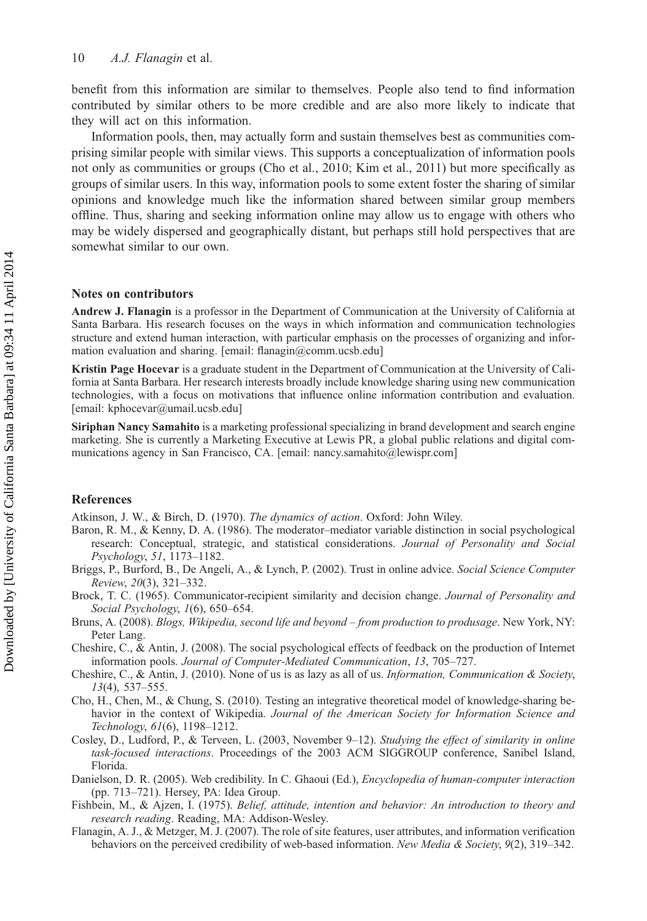benefit from this information are similar to themselves. People also tend to find information contributed by similar others to be more credible and are also more likely to indicate that they will act on this information.

Information pools, then, may actually form and sustain themselves best as communities comprising similar people with similar views. This supports a conceptualization of information pools not only as communities or groups (Cho et al., 2010; Kim et al., 2011) but more specifically as groups of similar users. In this way, information pools to some extent foster the sharing of similar opinions and knowledge much like the information shared between similar group members offline. Thus, sharing and seeking information online may allow us to engage with others who may be widely dispersed and geographically distant, but perhaps still hold perspectives that are somewhat similar to our own.

#### Notes on contributors

Andrew J. Flanagin is a professor in the Department of Communication at the University of California at Santa Barbara. His research focuses on the ways in which information and communication technologies structure and extend human interaction, with particular emphasis on the processes of organizing and information evaluation and sharing. [email: flanagin@comm.ucsb.edu]

Kristin Page Hocevar is a graduate student in the Department of Communication at the University of California at Santa Barbara. Her research interests broadly include knowledge sharing using new communication technologies, with a focus on motivations that influence online information contribution and evaluation. [email: kphocevar@umail.ucsb.edu]

Siriphan Nancy Samahito is a marketing professional specializing in brand development and search engine marketing. She is currently a Marketing Executive at Lewis PR, a global public relations and digital communications agency in San Francisco, CA. [email: nancy.samahito@lewispr.com]

# References

Atkinson, J. W., & Birch, D. (1970). The dynamics of action. Oxford: John Wiley.

- Baron, R. M., & Kenny, D. A. (1986). The moderator–mediator variable distinction in social psychological research: Conceptual, strategic, and statistical considerations. Journal of Personality and Social Psychology, 51, 1173–1182.
- Briggs, P., Burford, B., De Angeli, A., & Lynch, P. (2002). Trust in online advice. Social Science Computer Review, 20(3), 321–332.
- Brock, T. C. (1965). Communicator-recipient similarity and decision change. Journal of Personality and Social Psychology, 1(6), 650–654.
- Bruns, A. (2008). Blogs, Wikipedia, second life and beyond from production to produsage. New York, NY: Peter Lang.
- Cheshire, C., & Antin, J. (2008). The social psychological effects of feedback on the production of Internet information pools. Journal of Computer-Mediated Communication, 13, 705–727.
- Cheshire, C., & Antin, J. (2010). None of us is as lazy as all of us. *Information, Communication & Society*, 13(4), 537–555.
- Cho, H., Chen, M., & Chung, S. (2010). Testing an integrative theoretical model of knowledge-sharing behavior in the context of Wikipedia. Journal of the American Society for Information Science and Technology, 61(6), 1198–1212.
- Cosley, D., Ludford, P., & Terveen, L. (2003, November 9–12). Studying the effect of similarity in online task-focused interactions. Proceedings of the 2003 ACM SIGGROUP conference, Sanibel Island, Florida.
- Danielson, D. R. (2005). Web credibility. In C. Ghaoui (Ed.), Encyclopedia of human-computer interaction (pp. 713–721). Hersey, PA: Idea Group.
- Fishbein, M., & Ajzen, I. (1975). Belief, attitude, intention and behavior: An introduction to theory and research reading. Reading, MA: Addison-Wesley.
- Flanagin, A. J., & Metzger, M. J. (2007). The role of site features, user attributes, and information verification behaviors on the perceived credibility of web-based information. New Media & Society, 9(2), 319–342.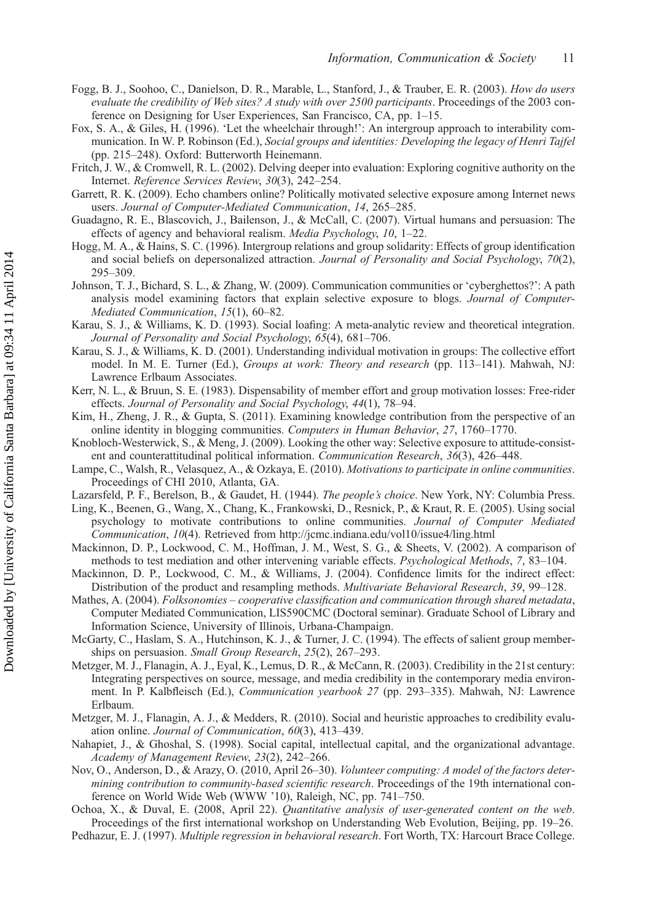- Fogg, B. J., Soohoo, C., Danielson, D. R., Marable, L., Stanford, J., & Trauber, E. R. (2003). How do users evaluate the credibility of Web sites? A study with over 2500 participants. Proceedings of the 2003 conference on Designing for User Experiences, San Francisco, CA, pp. 1–15.
- Fox, S. A., & Giles, H. (1996). 'Let the wheelchair through!': An intergroup approach to interability communication. In W. P. Robinson (Ed.), Social groups and identities: Developing the legacy of Henri Tajfel (pp. 215–248). Oxford: Butterworth Heinemann.
- Fritch, J. W., & Cromwell, R. L. (2002). Delving deeper into evaluation: Exploring cognitive authority on the Internet. Reference Services Review, 30(3), 242–254.
- Garrett, R. K. (2009). Echo chambers online? Politically motivated selective exposure among Internet news users. Journal of Computer-Mediated Communication, 14, 265–285.
- Guadagno, R. E., Blascovich, J., Bailenson, J., & McCall, C. (2007). Virtual humans and persuasion: The effects of agency and behavioral realism. Media Psychology, 10, 1–22.
- Hogg, M. A., & Hains, S. C. (1996). Intergroup relations and group solidarity: Effects of group identification and social beliefs on depersonalized attraction. Journal of Personality and Social Psychology, 70(2), 295–309.
- Johnson, T. J., Bichard, S. L., & Zhang, W. (2009). Communication communities or 'cyberghettos?': A path analysis model examining factors that explain selective exposure to blogs. Journal of Computer-Mediated Communication, 15(1), 60–82.
- Karau, S. J., & Williams, K. D. (1993). Social loafing: A meta-analytic review and theoretical integration. Journal of Personality and Social Psychology, 65(4), 681–706.
- Karau, S. J., & Williams, K. D. (2001). Understanding individual motivation in groups: The collective effort model. In M. E. Turner (Ed.), *Groups at work: Theory and research* (pp. 113–141). Mahwah, NJ: Lawrence Erlbaum Associates.
- Kerr, N. L., & Bruun, S. E. (1983). Dispensability of member effort and group motivation losses: Free-rider effects. Journal of Personality and Social Psychology, 44(1), 78–94.
- Kim, H., Zheng, J. R., & Gupta, S. (2011). Examining knowledge contribution from the perspective of an online identity in blogging communities. Computers in Human Behavior, 27, 1760–1770.
- Knobloch-Westerwick, S., & Meng, J. (2009). Looking the other way: Selective exposure to attitude-consistent and counterattitudinal political information. Communication Research, 36(3), 426–448.
- Lampe, C., Walsh, R., Velasquez, A., & Ozkaya, E. (2010). Motivations to participate in online communities. Proceedings of CHI 2010, Atlanta, GA.
- Lazarsfeld, P. F., Berelson, B., & Gaudet, H. (1944). The people's choice. New York, NY: Columbia Press.
- Ling, K., Beenen, G., Wang, X., Chang, K., Frankowski, D., Resnick, P., & Kraut, R. E. (2005). Using social psychology to motivate contributions to online communities. Journal of Computer Mediated Communication, 10(4). Retrieved from http://jcmc.indiana.edu/vol10/issue4/ling.html
- Mackinnon, D. P., Lockwood, C. M., Hoffman, J. M., West, S. G., & Sheets, V. (2002). A comparison of methods to test mediation and other intervening variable effects. Psychological Methods, 7, 83–104.
- Mackinnon, D. P., Lockwood, C. M., & Williams, J. (2004). Confidence limits for the indirect effect: Distribution of the product and resampling methods. Multivariate Behavioral Research, 39, 99–128.
- Mathes, A. (2004). Folksonomies cooperative classification and communication through shared metadata, Computer Mediated Communication, LIS590CMC (Doctoral seminar). Graduate School of Library and Information Science, University of Illinois, Urbana-Champaign.
- McGarty, C., Haslam, S. A., Hutchinson, K. J., & Turner, J. C. (1994). The effects of salient group memberships on persuasion. Small Group Research, 25(2), 267–293.
- Metzger, M. J., Flanagin, A. J., Eyal, K., Lemus, D. R., & McCann, R. (2003). Credibility in the 21st century: Integrating perspectives on source, message, and media credibility in the contemporary media environment. In P. Kalbfleisch (Ed.), Communication yearbook 27 (pp. 293–335). Mahwah, NJ: Lawrence Erlbaum.
- Metzger, M. J., Flanagin, A. J., & Medders, R. (2010). Social and heuristic approaches to credibility evaluation online. Journal of Communication, 60(3), 413–439.
- Nahapiet, J., & Ghoshal, S. (1998). Social capital, intellectual capital, and the organizational advantage. Academy of Management Review, 23(2), 242–266.
- Nov, O., Anderson, D., & Arazy, O. (2010, April 26–30). Volunteer computing: A model of the factors determining contribution to community-based scientific research. Proceedings of the 19th international conference on World Wide Web (WWW '10), Raleigh, NC, pp. 741–750.
- Ochoa, X., & Duval, E. (2008, April 22). Quantitative analysis of user-generated content on the web. Proceedings of the first international workshop on Understanding Web Evolution, Beijing, pp. 19–26.

Pedhazur, E. J. (1997). Multiple regression in behavioral research. Fort Worth, TX: Harcourt Brace College.